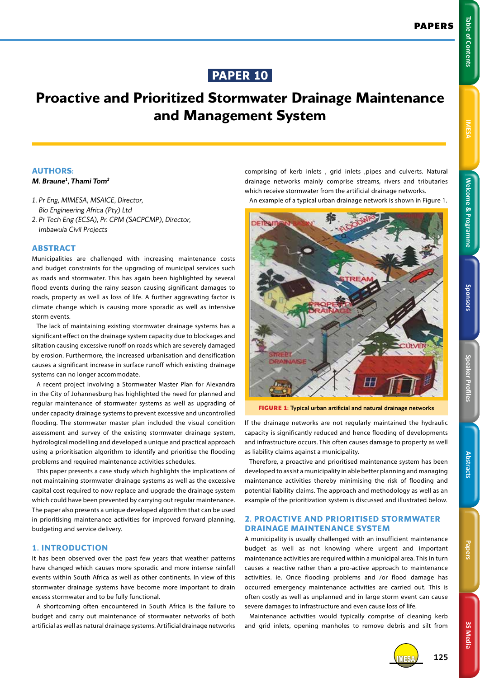**Welcome & Programme Table of Contents IMESA** 

**Welcome & Programme** 

Table of Contents

# **Proactive and Prioritized Stormwater Drainage Maintenance and Management System**

### **AUTHORS:**

#### *M. Braune1 , Thami Tom2*

- *1. Pr Eng, MIMESA, MSAICE, Director, Bio Engineering Africa (Pty) Ltd*
- *2. Pr Tech Eng (ECSA), Pr. CPM (SACPCMP), Director, Imbawula Civil Projects*

#### **ABSTRACT**

Municipalities are challenged with increasing maintenance costs and budget constraints for the upgrading of municipal services such as roads and stormwater. This has again been highlighted by several flood events during the rainy season causing significant damages to roads, property as well as loss of life. A further aggravating factor is climate change which is causing more sporadic as well as intensive storm events.

The lack of maintaining existing stormwater drainage systems has a significant effect on the drainage system capacity due to blockages and siltation causing excessive runoff on roads which are severely damaged by erosion. Furthermore, the increased urbanisation and densification causes a significant increase in surface runoff which existing drainage systems can no longer accommodate.

A recent project involving a Stormwater Master Plan for Alexandra in the City of Johannesburg has highlighted the need for planned and regular maintenance of stormwater systems as well as upgrading of under capacity drainage systems to prevent excessive and uncontrolled flooding. The stormwater master plan included the visual condition assessment and survey of the existing stormwater drainage system, hydrological modelling and developed a unique and practical approach using a prioritisation algorithm to identify and prioritise the flooding problems and required maintenance activities schedules.

This paper presents a case study which highlights the implications of not maintaining stormwater drainage systems as well as the excessive capital cost required to now replace and upgrade the drainage system which could have been prevented by carrying out regular maintenance. The paper also presents a unique developed algorithm that can be used in prioritising maintenance activities for improved forward planning, budgeting and service delivery.

### **1. INTRODUCTION**

It has been observed over the past few years that weather patterns have changed which causes more sporadic and more intense rainfall events within South Africa as well as other continents. In view of this stormwater drainage systems have become more important to drain excess stormwater and to be fully functional.

A shortcoming often encountered in South Africa is the failure to budget and carry out maintenance of stormwater networks of both artificial as well as natural drainage systems. Artificial drainage networks comprising of kerb inlets, grid inlets, pipes and culverts. Natural drainage networks mainly comprise streams, rivers and tributaries which receive stormwater from the artificial drainage networks.

An example of a typical urban drainage network is shown in Figure 1.



**FIGURE 1:** Typical urban artificial and natural drainage networks

If the drainage networks are not regularly maintained the hydraulic capacity is significantly reduced and hence flooding of developments and infrastructure occurs. This often causes damage to property as well as liability claims against a municipality.

Therefore, a proactive and prioritised maintenance system has been developed to assist a municipality in able better planning and managing maintenance activities thereby minimising the risk of flooding and potential liability claims. The approach and methodology as well as an example of the prioritization system is discussed and illustrated below.

## **2. PROACTIVE AND PRIORITISED STORMWATER DRAINAGE MAINTENANCE SYSTEM**

A municipality is usually challenged with an insufficient maintenance budget as well as not knowing where urgent and important maintenance activities are required within a municipal area. This in turn causes a reactive rather than a pro-active approach to maintenance activities. ie. Once flooding problems and /or flood damage has occurred emergency maintenance activities are carried out. This is often costly as well as unplanned and in large storm event can cause severe damages to infrastructure and even cause loss of life.

Maintenance activities would typically comprise of cleaning kerb and grid inlets, opening manholes to remove debris and silt from

**Speaker Profiles Sponsors**

Speaker Profile:

Sponsors



IMESA **125**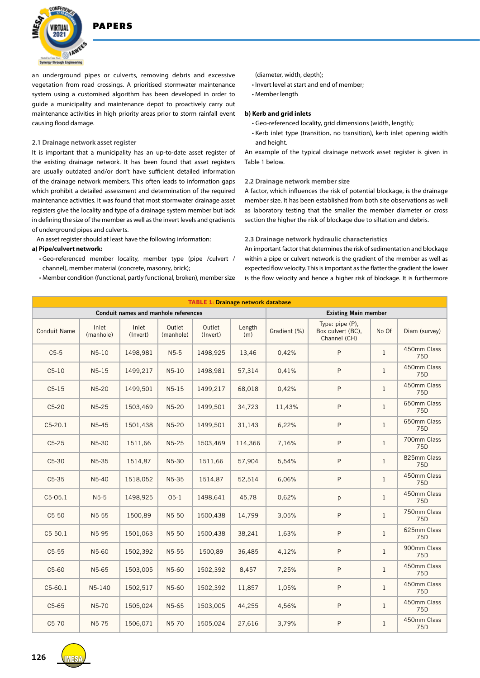

**DADEDS** 

an underground pipes or culverts, removing debris and excessive vegetation from road crossings. A prioritised stormwater maintenance system using a customised algorithm has been developed in order to guide a municipality and maintenance depot to proactively carry out maintenance activities in high priority areas prior to storm rainfall event causing flood damage.

#### **2.1 Drainage network asset register**

It is important that a municipality has an up-to-date asset register of the existing drainage network. It has been found that asset registers are usually outdated and/or don't have sufficient detailed information of the drainage network members. This often leads to information gaps which prohibit a detailed assessment and determination of the required maintenance activities. It was found that most stormwater drainage asset registers give the locality and type of a drainage system member but lack in defining the size of the member as well as the invert levels and gradients of underground pipes and culverts.

An asset register should at least have the following information:

#### **a) Pipe/culvert network:**

- Geo-referenced member locality, member type (pipe /culvert / channel), member material (concrete, masonry, brick);
- Member condition (functional, partly functional, broken), member size

(diameter, width, depth);

- Invert level at start and end of member;
- Member length

#### **b) Kerb and grid inlets**

- Geo-referenced locality, grid dimensions (width, length);
- Kerb inlet type (transition, no transition), kerb inlet opening width and height.

An example of the typical drainage network asset register is given in Table 1 below.

### **2.2 Drainage network member size**

A factor, which influences the risk of potential blockage, is the drainage member size. It has been established from both site observations as well as laboratory testing that the smaller the member diameter or cross section the higher the risk of blockage due to siltation and debris.

#### **2.3 Drainage network hydraulic characteristics**

An important factor that determines the risk of sedimentation and blockage within a pipe or culvert network is the gradient of the member as well as expected flow velocity. This is important as the flatter the gradient the lower is the flow velocity and hence a higher risk of blockage. It is furthermore

| <b>TABLE 1: Drainage network database</b> |                    |                   |                     |                    |               |              |                                                      |              |                                |  |  |
|-------------------------------------------|--------------------|-------------------|---------------------|--------------------|---------------|--------------|------------------------------------------------------|--------------|--------------------------------|--|--|
| Conduit names and manhole references      |                    |                   |                     |                    |               |              | <b>Existing Main member</b>                          |              |                                |  |  |
| <b>Conduit Name</b>                       | Inlet<br>(manhole) | Inlet<br>(Invert) | Outlet<br>(manhole) | Outlet<br>(Invert) | Length<br>(m) | Gradient (%) | Type: pipe (P).<br>Box culvert (BC),<br>Channel (CH) |              | Diam (survey)                  |  |  |
| $C5-5$                                    | $N5-10$            | 1498,981          | $N5-5$              | 1498,925           | 13,46         | 0,42%        | P                                                    | $\mathbf{1}$ | 450mm Class<br>75 <sub>D</sub> |  |  |
| $C5-10$                                   | $N5-15$            | 1499,217          | $N5-10$             | 1498,981           | 57,314        | 0,41%        | P                                                    | $\mathbf{1}$ | 450mm Class<br>75 <sub>D</sub> |  |  |
| $C5-15$                                   | $N5-20$            | 1499,501          | $N5-15$             | 1499,217           | 68,018        | 0,42%        | P                                                    | $\mathbf{1}$ | 450mm Class<br>75D             |  |  |
| $C5-20$                                   | $N5-25$            | 1503,469          | N5-20               | 1499,501           | 34,723        | 11,43%       | P                                                    | $\mathbf{1}$ | 650mm Class<br>75D             |  |  |
| $C5-20.1$                                 | $N5-45$            | 1501,438          | $N5-20$             | 1499,501           | 31,143        | 6,22%        | P                                                    | $\mathbf{1}$ | 650mm Class<br>75D             |  |  |
| $C5-25$                                   | N5-30              | 1511,66           | $N5-25$             | 1503,469           | 114,366       | 7,16%        | P                                                    | $\mathbf{1}$ | 700mm Class<br>75D             |  |  |
| $C5-30$                                   | N5-35              | 1514.87           | N5-30               | 1511,66            | 57,904        | 5,54%        | P                                                    | $\mathbf{1}$ | 825mm Class<br>75D             |  |  |
| $C5-35$                                   | N <sub>5</sub> -40 | 1518.052          | N <sub>5</sub> -35  | 1514,87            | 52,514        | 6,06%        | P                                                    | $\mathbf{1}$ | 450mm Class<br>75D             |  |  |
| $C5-05.1$                                 | $N5-5$             | 1498,925          | $05-1$              | 1498,641           | 45,78         | 0,62%        | p                                                    | $\mathbf{1}$ | 450mm Class<br>75D             |  |  |
| $C5-50$                                   | N5-55              | 1500,89           | N <sub>5</sub> -50  | 1500,438           | 14,799        | 3,05%        | P                                                    | $\mathbf{1}$ | 750mm Class<br>75D             |  |  |
| $C5-50.1$                                 | N5-95              | 1501,063          | N <sub>5</sub> -50  | 1500,438           | 38,241        | 1,63%        | P                                                    | $\mathbf{1}$ | 625mm Class<br>75D             |  |  |
| $C5-55$                                   | N5-60              | 1502,392          | N5-55               | 1500,89            | 36,485        | 4,12%        | P                                                    | $\mathbf{1}$ | 900mm Class<br>75D             |  |  |
| $C5-60$                                   | N5-65              | 1503,005          | N <sub>5</sub> -60  | 1502,392           | 8,457         | 7,25%        | P                                                    | $\mathbf{1}$ | 450mm Class<br>75D             |  |  |
| $C5-60.1$                                 | N5-140             | 1502,517          | N5-60               | 1502,392           | 11,857        | 1,05%        | P                                                    | $\mathbf{1}$ | 450mm Class<br>75D             |  |  |
| $C5-65$                                   | N5-70              | 1505,024          | N5-65               | 1503,005           | 44,255        | 4,56%        | P                                                    | $\mathbf{1}$ | 450mm Class<br>75D             |  |  |
| $C5-70$                                   | N5-75              | 1506,071          | N5-70               | 1505,024           | 27,616        | 3,79%        | P                                                    | $\mathbf{1}$ | 450mm Class<br>75D             |  |  |

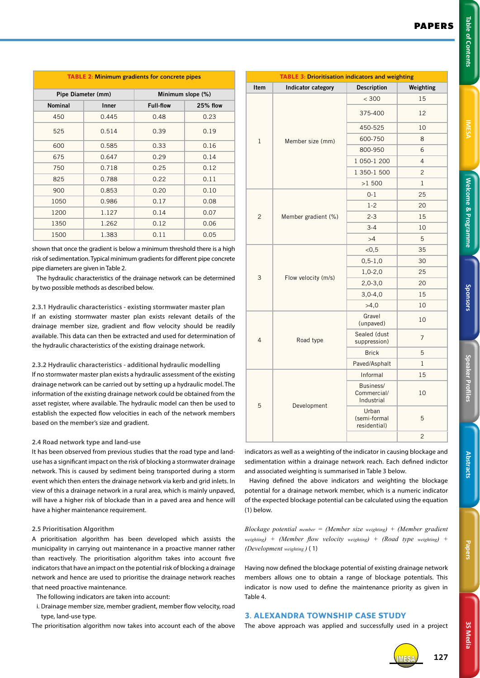| ٦      | <b>Service Service</b> |
|--------|------------------------|
| г      |                        |
|        |                        |
|        |                        |
|        | I                      |
|        |                        |
|        |                        |
|        |                        |
| I      |                        |
|        |                        |
|        |                        |
|        |                        |
|        |                        |
|        |                        |
|        |                        |
|        |                        |
|        |                        |
|        |                        |
|        | c                      |
|        |                        |
| i<br>I | ٦                      |
| ٠      |                        |
|        |                        |
|        |                        |
|        |                        |
|        |                        |
|        |                        |
|        |                        |
|        |                        |
|        |                        |
|        |                        |
|        |                        |
|        |                        |
|        |                        |
|        |                        |
|        |                        |
|        |                        |
|        |                        |
|        |                        |
|        |                        |
|        |                        |
|        |                        |
|        |                        |
|        |                        |
|        |                        |
|        |                        |
|        |                        |
|        |                        |
|        |                        |
|        |                        |
|        |                        |
|        |                        |
|        |                        |

| <b>TABLE 2: Minimum gradients for concrete pipes</b> |                    |                   |          |  |  |  |  |  |  |  |
|------------------------------------------------------|--------------------|-------------------|----------|--|--|--|--|--|--|--|
|                                                      | Pipe Diameter (mm) | Minimum slope (%) |          |  |  |  |  |  |  |  |
| <b>Nominal</b>                                       | Inner              | <b>Full-flow</b>  | 25% flow |  |  |  |  |  |  |  |
| 450                                                  | 0.445              | 0.48              | 0.23     |  |  |  |  |  |  |  |
| 525                                                  | 0.514              | 0.39              | 0.19     |  |  |  |  |  |  |  |
| 600                                                  | 0.585              | 0.33              | 0.16     |  |  |  |  |  |  |  |
| 675                                                  | 0.647              | 0.29              | 0.14     |  |  |  |  |  |  |  |
| 750                                                  | 0.718              | 0.25              | 0.12     |  |  |  |  |  |  |  |
| 825                                                  | 0.788              | 0.22              | 0.11     |  |  |  |  |  |  |  |
| 900                                                  | 0.853              | 0.20              | 0.10     |  |  |  |  |  |  |  |
| 1050                                                 | 0.986              | 0.17              | 0.08     |  |  |  |  |  |  |  |
| 1200                                                 | 1.127              | 0.14              | 0.07     |  |  |  |  |  |  |  |
| 1350                                                 | 1.262              | 0.12              | 0.06     |  |  |  |  |  |  |  |
| 1500                                                 | 1.383              | 0.11              | 0.05     |  |  |  |  |  |  |  |

shown that once the gradient is below a minimum threshold there is a high risk of sedimentation. Typical minimum gradients for different pipe concrete pipe diameters are given in Table 2.

The hydraulic characteristics of the drainage network can be determined by two possible methods as described below.

#### **2.3.1 Hydraulic characteristics - existing stormwater master plan**

If an existing stormwater master plan exists relevant details of the drainage member size, gradient and flow velocity should be readily available. This data can then be extracted and used for determination of the hydraulic characteristics of the existing drainage network.

#### **2.3.2 Hydraulic characteristics - additional hydraulic modelling**

If no stormwater master plan exists a hydraulic assessment of the existing drainage network can be carried out by setting up a hydraulic model. The information of the existing drainage network could be obtained from the asset register, where available. The hydraulic model can then be used to establish the expected flow velocities in each of the network members based on the member's size and gradient.

#### **2.4 Road network type and land-use**

It has been observed from previous studies that the road type and landuse has a significant impact on the risk of blocking a stormwater drainage network. This is caused by sediment being transported during a storm event which then enters the drainage network via kerb and grid inlets. In view of this a drainage network in a rural area, which is mainly unpaved, will have a higher risk of blockade than in a paved area and hence will have a higher maintenance requirement.

#### **2.5 Prioritisation Algorithm**

A prioritisation algorithm has been developed which assists the municipality in carrying out maintenance in a proactive manner rather than reactively. The prioritisation algorithm takes into account five indicators that have an impact on the potential risk of blocking a drainage network and hence are used to prioritise the drainage network reaches that need proactive maintenance.

The following indicators are taken into account:

i. Drainage member size, member gradient, member flow velocity, road type, land-use type.

The prioritisation algorithm now takes into account each of the above

| <b>TABLE 3: Drioritisation indicators and weighting</b> |                     |                                        |                |  |  |  |  |  |  |  |
|---------------------------------------------------------|---------------------|----------------------------------------|----------------|--|--|--|--|--|--|--|
| Item                                                    | Indicator category  | <b>Description</b>                     | Weighting      |  |  |  |  |  |  |  |
| $\mathbf{1}$                                            |                     | < 300                                  | 15             |  |  |  |  |  |  |  |
|                                                         |                     | 375-400                                | 12             |  |  |  |  |  |  |  |
|                                                         |                     | 450-525                                | 10             |  |  |  |  |  |  |  |
|                                                         | Member size (mm)    | 600-750                                | 8              |  |  |  |  |  |  |  |
|                                                         |                     | 800-950                                | 6              |  |  |  |  |  |  |  |
|                                                         |                     | 1 050-1 200                            | 4              |  |  |  |  |  |  |  |
|                                                         |                     | 1 350-1 500                            | $\overline{c}$ |  |  |  |  |  |  |  |
|                                                         |                     | >1500                                  | 1              |  |  |  |  |  |  |  |
|                                                         |                     | $0 - 1$                                | 25             |  |  |  |  |  |  |  |
|                                                         |                     | $1 - 2$                                | 20             |  |  |  |  |  |  |  |
| 2                                                       | Member gradient (%) | $2 - 3$                                | 15             |  |  |  |  |  |  |  |
|                                                         |                     | $3 - 4$                                | 10             |  |  |  |  |  |  |  |
|                                                         |                     | >4                                     | 5              |  |  |  |  |  |  |  |
|                                                         |                     | $<$ 0,5                                | 35             |  |  |  |  |  |  |  |
|                                                         |                     | $0, 5 - 1, 0$                          | 30             |  |  |  |  |  |  |  |
| 3                                                       | Flow velocity (m/s) | $1,0-2,0$                              | 25             |  |  |  |  |  |  |  |
|                                                         |                     | $2,0-3,0$                              | 20             |  |  |  |  |  |  |  |
|                                                         |                     | $3,0-4,0$                              | 15             |  |  |  |  |  |  |  |
|                                                         |                     | >4,0                                   | 10             |  |  |  |  |  |  |  |
| 4                                                       |                     | Gravel<br>(unpaved)                    | 10             |  |  |  |  |  |  |  |
|                                                         | Road type           | Sealed (dust<br>suppression)           | $\overline{7}$ |  |  |  |  |  |  |  |
|                                                         |                     | <b>Brick</b>                           | 5              |  |  |  |  |  |  |  |
|                                                         |                     | Paved/Asphalt                          | $\mathbf{1}$   |  |  |  |  |  |  |  |
| 5                                                       |                     | Informal                               | 15             |  |  |  |  |  |  |  |
|                                                         | Development         | Business/<br>Commercial/<br>Industrial | 10             |  |  |  |  |  |  |  |
|                                                         |                     | Urban<br>(semi-formal<br>residential)  | 5              |  |  |  |  |  |  |  |
|                                                         |                     |                                        | $\overline{c}$ |  |  |  |  |  |  |  |

indicators as well as a weighting of the indicator in causing blockage and sedimentation within a drainage network reach. Each defined indictor and associated weighting is summarised in Table 3 below.

Having defined the above indicators and weighting the blockage potential for a drainage network member, which is a numeric indicator of the expected blockage potential can be calculated using the equation (1) below.

*Blockage potential member = (Member size weighting) + (Member gradient weighting) + (Member flow velocity weighting) + (Road type weighting) + (Development weighting )* ( 1)

Having now defined the blockage potential of existing drainage network members allows one to obtain a range of blockage potentials. This indicator is now used to define the maintenance priority as given in Table 4.

# **3. ALEXANDRA TOWNSHIP CASE STUDY**

The above approach was applied and successfully used in a project



IMESA **127**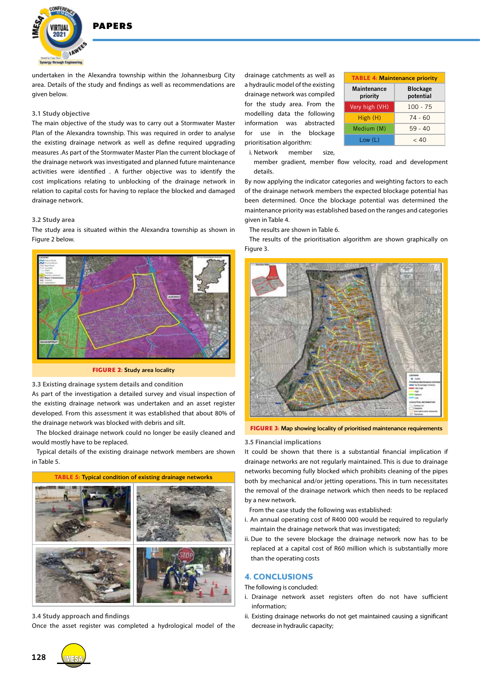

**DADEDS** 

undertaken in the Alexandra township within the Johannesburg City area. Details of the study and findings as well as recommendations are given below.

#### **3.1 Study objective**

The main objective of the study was to carry out a Stormwater Master Plan of the Alexandra township. This was required in order to analyse the existing drainage network as well as define required upgrading measures .As part of the Stormwater Master Plan the current blockage of the drainage network was investigated and planned future maintenance activities were identified . A further objective was to identify the cost implications relating to unblocking of the drainage network in relation to capital costs for having to replace the blocked and damaged drainage network.

#### **3.2 Study area**

The study area is situated within the Alexandra township as shown in Figure 2 below.



**FIGURE 2:** Study area locality

**3.3 Existing drainage system details and condition**

As part of the investigation a detailed survey and visual inspection of the existing drainage network was undertaken and an asset register developed. From this assessment it was established that about 80% of the drainage network was blocked with debris and silt.

The blocked drainage network could no longer be easily cleaned and would mostly have to be replaced.

Typical details of the existing drainage network members are shown in Table 5.



**3.4 Study approach and findings**

Once the asset register was completed a hydrological model of the

drainage catchments as well as a hydraulic model of the existing drainage network was compiled for the study area. From the modelling data the following information was abstracted for use in the blockage prioritisation algorithm:

| <b>TABLE 4: Maintenance priority</b> |                              |  |  |  |  |  |  |  |
|--------------------------------------|------------------------------|--|--|--|--|--|--|--|
| <b>Maintenance</b><br>priority       | <b>Blockage</b><br>potential |  |  |  |  |  |  |  |
| Very high (VH)                       | $100 - 75$                   |  |  |  |  |  |  |  |
| High (H)                             | 74 - 60                      |  |  |  |  |  |  |  |
| Medium (M)                           | $59 - 40$                    |  |  |  |  |  |  |  |
| Low (L)                              | ~< 40                        |  |  |  |  |  |  |  |

i. Network member size,

member gradient, member flow velocity, road and development details.

By now applying the indicator categories and weighting factors to each of the drainage network members the expected blockage potential has been determined. Once the blockage potential was determined the maintenance priority was established based on the ranges and categories given in Table 4.

The results are shown in Table 6.

The results of the prioritisation algorithm are shown graphically on Figure 3.



**FIGURE 3:** Map showing locality of prioritised maintenance requirements

#### **3.5 Financial implications**

It could be shown that there is a substantial financial implication if drainage networks are not regularly maintained. This is due to drainage networks becoming fully blocked which prohibits cleaning of the pipes both by mechanical and/or jetting operations. This in turn necessitates the removal of the drainage network which then needs to be replaced by a new network.

From the case study the following was established:

- i. An annual operating cost of R400 000 would be required to regularly maintain the drainage network that was investigated;
- ii. Due to the severe blockage the drainage network now has to be replaced at a capital cost of R60 million which is substantially more than the operating costs

## **4. CONCLUSIONS**

The following is concluded:

- i. Drainage network asset registers often do not have sufficient information;
- ii. Existing drainage networks do not get maintained causing a significant decrease in hydraulic capacity;

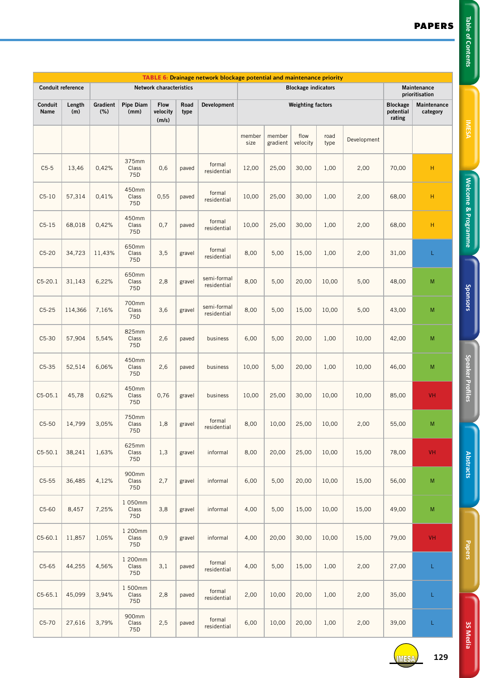**Welcome & Programme Table of Contents IMESA** 

Welcome & Programme

J

Table of Contents

**Speaker Profiles Sponsors**

**Speaker Profiles** 

Sponsors

**Papers Abstracts**

**Papers** 

**Abstracts** 

| TABLE 6: Drainage network blockage potential and maintenance priority |               |                 |                         |                                  |              |                            |                          |                            |                  |              |                                        |                               |           |
|-----------------------------------------------------------------------|---------------|-----------------|-------------------------|----------------------------------|--------------|----------------------------|--------------------------|----------------------------|------------------|--------------|----------------------------------------|-------------------------------|-----------|
| Conduit reference<br><b>Network characteristics</b>                   |               |                 |                         |                                  |              |                            |                          | <b>Blockage indicators</b> |                  |              |                                        | Maintenance<br>prioritisation |           |
| Conduit<br>Name                                                       | Length<br>(m) | Gradient<br>(%) | Pipe Diam<br>(mm)       | <b>Flow</b><br>velocity<br>(m/s) | Road<br>type | Development                | <b>Weighting factors</b> |                            |                  |              | <b>Blockage</b><br>potential<br>rating | Maintenance<br>category       |           |
|                                                                       |               |                 |                         |                                  |              |                            | member<br>size           | member<br>gradient         | flow<br>velocity | road<br>type | Development                            |                               |           |
| $C5-5$                                                                | 13,46         | 0,42%           | 375mm<br>Class<br>75D   | 0,6                              | paved        | formal<br>residential      | 12,00                    | 25,00                      | 30,00            | 1,00         | 2,00                                   | 70,00                         | H         |
| $C5-10$                                                               | 57,314        | 0,41%           | 450mm<br>Class<br>75D   | 0,55                             | paved        | formal<br>residential      | 10,00                    | 25,00                      | 30,00            | 1,00         | 2,00                                   | 68,00                         | H         |
| $C5-15$                                                               | 68,018        | 0,42%           | 450mm<br>Class<br>75D   | 0,7                              | paved        | formal<br>residential      | 10,00                    | 25,00                      | 30,00            | 1,00         | 2,00                                   | 68,00                         | H         |
| $C5-20$                                                               | 34,723        | 11,43%          | 650mm<br>Class<br>75D   | 3,5                              | gravel       | formal<br>residential      | 8,00                     | 5,00                       | 15,00            | 1,00         | 2,00                                   | 31,00                         | L         |
| $C5-20.1$                                                             | 31,143        | 6,22%           | 650mm<br>Class<br>75D   | 2,8                              | gravel       | semi-formal<br>residential | 8,00                     | 5,00                       | 20,00            | 10,00        | 5,00                                   | 48,00                         | M         |
| $C5-25$                                                               | 114,366       | 7,16%           | 700mm<br>Class<br>75D   | 3,6                              | gravel       | semi-formal<br>residential | 8,00                     | 5,00                       | 15,00            | 10,00        | 5,00                                   | 43,00                         | M         |
| $C5-30$                                                               | 57,904        | 5,54%           | 825mm<br>Class<br>75D   | 2,6                              | paved        | business                   | 6,00                     | 5,00                       | 20,00            | 1,00         | 10,00                                  | 42,00                         | ${\sf M}$ |
| $C5-35$                                                               | 52,514        | 6,06%           | 450mm<br>Class<br>75D   | 2,6                              | paved        | business                   | 10,00                    | 5,00                       | 20,00            | 1,00         | 10,00                                  | 46,00                         | M         |
| $C5-05.1$                                                             | 45,78         | 0,62%           | 450mm<br>Class<br>75D   | 0,76                             | gravel       | business                   | 10,00                    | 25,00                      | 30,00            | 10,00        | 10,00                                  | 85,00                         | VH        |
| $C5-50$                                                               | 14,799        | 3,05%           | 750mm<br>Class<br>75D   | 1,8                              | gravel       | formal<br>residential      | 8,00                     | 10,00                      | 25,00            | 10,00        | 2,00                                   | 55,00                         | M         |
| $C5-50.1$                                                             | 38,241        | 1,63%           | 625mm<br>Class<br>75D   | 1,3                              | gravel       | informal                   | 8,00                     | 20,00                      | 25,00            | 10,00        | 15,00                                  | 78,00                         | VH        |
| $C5-55$                                                               | 36,485        | 4,12%           | 900mm<br>Class<br>75D   | 2,7                              | gravel       | informal                   | 6,00                     | 5,00                       | 20,00            | 10,00        | 15,00                                  | 56,00                         | M         |
| $C5-60$                                                               | 8,457         | 7,25%           | 1 050mm<br>Class<br>75D | 3,8                              | gravel       | informal                   | 4,00                     | 5,00                       | 15,00            | 10,00        | 15,00                                  | 49,00                         | ${\sf M}$ |
| $C5-60.1$                                                             | 11,857        | 1,05%           | 1 200mm<br>Class<br>75D | 0,9                              | gravel       | informal                   | 4,00                     | 20,00                      | 30,00            | 10,00        | 15,00                                  | 79,00                         | VH        |
| $C5-65$                                                               | 44,255        | 4,56%           | 1 200mm<br>Class<br>75D | 3,1                              | paved        | formal<br>residential      | 4,00                     | 5,00                       | 15,00            | 1,00         | 2,00                                   | 27,00                         | L         |
| $C5-65.1$                                                             | 45,099        | 3,94%           | 1 500mm<br>Class<br>75D | 2,8                              | paved        | formal<br>residential      | 2,00                     | 10,00                      | 20,00            | 1,00         | 2,00                                   | 35,00                         | L         |
| $C5-70$                                                               | 27,616        | 3,79%           | 900mm<br>Class<br>75D   | 2,5                              | paved        | formal<br>residential      | 6,00                     | 10,00                      | 20,00            | 1,00         | 2,00                                   | 39,00                         | L         |



**3S Media**

**3S Media**